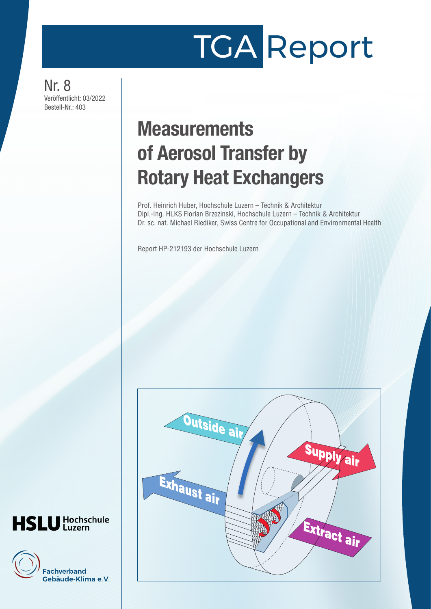# TGA Report

Nr. 8 Veröffentlicht: 03/2022 Bestell-Nr.: 403

## **Measurements** of Aerosol Transfer by Rotary Heat Exchangers

Prof. Heinrich Huber, Hochschule Luzern – Technik & Architektur Dipl.-Ing. HLKS Florian Brzezinski, Hochschule Luzern – Technik & Architektur Dr. sc. nat. Michael Riediker, Swiss Centre for Occupational and Environmental Health

Report HP-212193 der Hochschule Luzern



## **HSLU** Hochschule

**Fachverband** Gebäude-Klima e.V.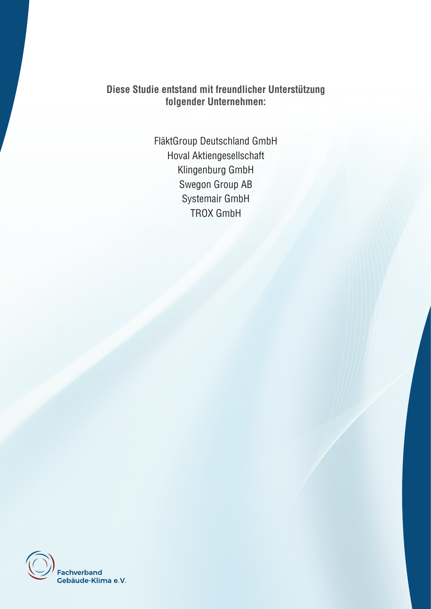**Diese Studie entstand mit freundlicher Unterstützung folgender Unternehmen:**

> FläktGroup Deutschland GmbH Hoval Aktiengesellschaft Klingenburg GmbH Swegon Group AB Systemair GmbH TROX GmbH

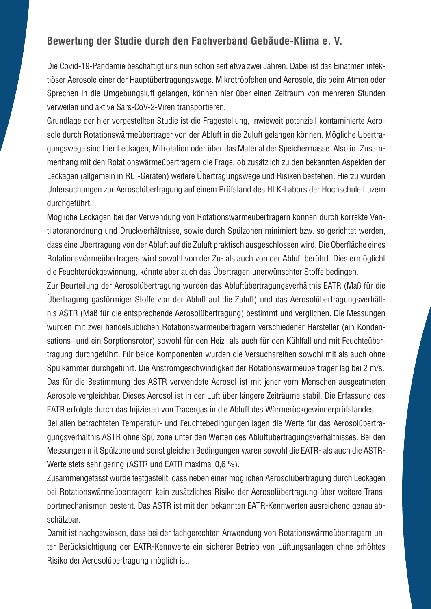### **Bewertung der Studie durch den Fachverband Gebäude-Klima e. V.**

Die Covid-19-Pandemie beschäftigt uns nun schon seit etwa zwei Jahren. Dabei ist das Einatmen infektiöser Aerosole einer der Hauptübertragungswege. Mikrotröpfchen und Aerosole, die beim Atmen oder Sprechen in die Umgebungsluft gelangen, können hier über einen Zeitraum von mehreren Stunden verweilen und aktive Sars-CoV-2-Viren transportieren.

Grundlage der hier vorgestellten Studie ist die Fragestellung, inwieweit potenziell kontaminierte Aerosole durch Rotationswärmeübertrager von der Abluft in die Zuluft gelangen können. Mögliche Übertragungswege sind hier Leckagen, Mitrotation oder über das Material der Speichermasse. Also im Zusammenhang mit den Rotationswärmeübertragern die Frage, ob zusätzlich zu den bekannten Aspekten der Leckagen (allgemein in RLT-Geräten) weitere Übertragungswege und Risiken bestehen. Hierzu wurden Untersuchungen zur Aerosolübertragung auf einem Prüfstand des HLK-Labors der Hochschule Luzern durchgeführt.

Mögliche Leckagen bei der Verwendung von Rotationswärmeübertragern können durch korrekte Ventilatoranordnung und Druckverhältnisse, sowie durch Spülzonen minimiert bzw. so gerichtet werden, dass eine Übertragung von der Abluft auf die Zuluft praktisch ausgeschlossen wird. Die Oberfläche eines Rotationswärmeübertragers wird sowohl von der Zu- als auch von der Abluft berührt. Dies ermöglicht die Feuchterückgewinnung, könnte aber auch das Übertragen unerwünschter Stoffe bedingen.

Zur Beurteilung der Aerosolübertragung wurden das Abluftübertragungsverhältnis EATR (Maß für die Übertragung gasförmiger Stoffe von der Abluft auf die Zuluft) und das Aerosolübertragungsverhältnis ASTR (Maß für die entsprechende Aerosolübertragung) bestimmt und verglichen. Die Messungen wurden mit zwei handelsüblichen Rotationswärmeübertragern verschiedener Hersteller (ein Kondensations- und ein Sorptionsrotor) sowohl für den Heiz- als auch für den Kühlfall und mit Feuchteübertragung durchgeführt. Für beide Komponenten wurden die Versuchsreihen sowohl mit als auch ohne Spülkammer durchgeführt. Die Anströmgeschwindigkeit der Rotationswärmeübertrager lag bei 2 m/s. Das für die Bestimmung des ASTR verwendete Aerosol ist mit jener vom Menschen ausgeatmeten Aerosole vergleichbar. Dieses Aerosol ist in der Luft über längere Zeiträume stabil. Die Erfassung des EATR erfolgte durch das Injizieren von Tracergas in die Abluft des Wärmerückgewinnerprüfstandes.

Bei allen betrachteten Temperatur- und Feuchtebedingungen lagen die Werte für das Aerosolübertragungsverhältnis ASTR ohne Spülzone unter den Werten des Abluftübertragungsverhältnisses. Bei den Messungen mit Spülzone und sonst gleichen Bedingungen waren sowohl die EATR- als auch die ASTR-Werte stets sehr gering (ASTR und EATR maximal 0.6 %).

Zusammengefasst wurde festgestellt, dass neben einer möglichen Aerosolübertragung durch Leckagen bei Rotationswärmeübertragern kein zusätzliches Risiko der Aerosolübertragung über weitere Transportmechanismen besteht. Das ASTR ist mit den bekannten EATR-Kennwerten ausreichend genau abschätzbar.

Damit ist nachgewiesen, dass bei der fachgerechten Anwendung von Rotationswärmeübertragern unter Berücksichtigung der EATR-Kennwerte ein sicherer Betrieb von Lüftungsanlagen ohne erhöhtes Risiko der Aerosolübertragung möglich ist.